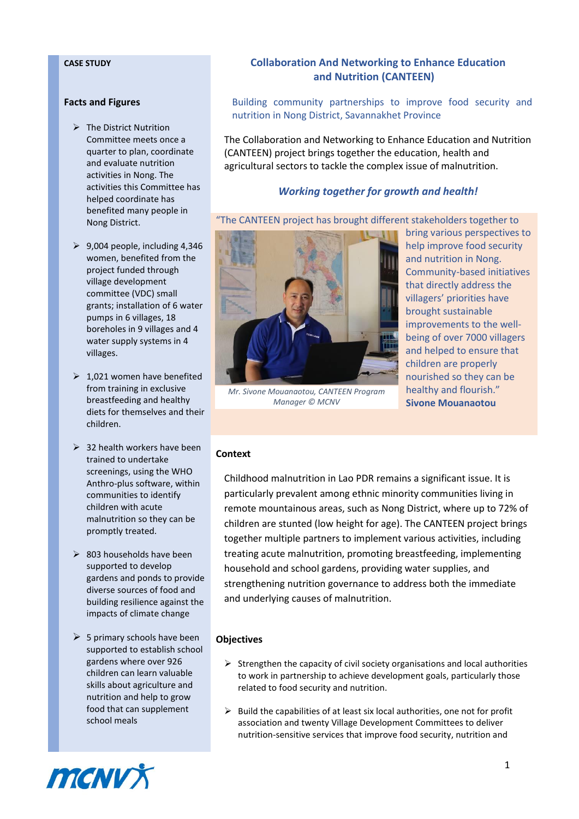#### **Facts and Figures**

- ➢ The District Nutrition Committee meets once a quarter to plan, coordinate and evaluate nutrition activities in Nong. The activities this Committee has helped coordinate has benefited many people in Nong District.
- $\geq 9,004$  people, including 4,346 women, benefited from the project funded through village development committee (VDC) small grants; installation of 6 water pumps in 6 villages, 18 boreholes in 9 villages and 4 water supply systems in 4 villages.
- $\geq 1,021$  women have benefited from training in exclusive breastfeeding and healthy diets for themselves and their children.
- $\geq$  32 health workers have been trained to undertake screenings, using the WHO Anthro-plus software, within communities to identify children with acute malnutrition so they can be promptly treated.
- $\geq$  803 households have been supported to develop gardens and ponds to provide diverse sources of food and building resilience against the impacts of climate change
- $\triangleright$  5 primary schools have been supported to establish school gardens where over 926 children can learn valuable skills about agriculture and nutrition and help to grow food that can supplement school meals

# **CASE STUDY Collaboration And Networking to Enhance Education and Nutrition (CANTEEN)**

Building community partnerships to improve food security and nutrition in Nong District, Savannakhet Province

The Collaboration and Networking to Enhance Education and Nutrition (CANTEEN) project brings together the education, health and agricultural sectors to tackle the complex issue of malnutrition.

## *Working together for growth and health!*

"The CANTEEN project has brought different stakeholders together to



*Mr. Sivone Mouanaotou, CANTEEN Program Manager © MCNV*

bring various perspectives to help improve food security and nutrition in Nong. Community-based initiatives that directly address the villagers' priorities have brought sustainable improvements to the wellbeing of over 7000 villagers and helped to ensure that children are properly nourished so they can be healthy and flourish." **Sivone Mouanaotou**

#### **Context**

Childhood malnutrition in Lao PDR remains a significant issue. It is particularly prevalent among ethnic minority communities living in remote mountainous areas, such as Nong District, where up to 72% of children are stunted (low height for age). The CANTEEN project brings together multiple partners to implement various activities, including treating acute malnutrition, promoting breastfeeding, implementing household and school gardens, providing water supplies, and strengthening nutrition governance to address both the immediate and underlying causes of malnutrition.

#### **Objectives**

- $\triangleright$  Strengthen the capacity of civil society organisations and local authorities to work in partnership to achieve development goals, particularly those related to food security and nutrition.
- $\triangleright$  Build the capabilities of at least six local authorities, one not for profit association and twenty Village Development Committees to deliver nutrition-sensitive services that improve food security, nutrition and

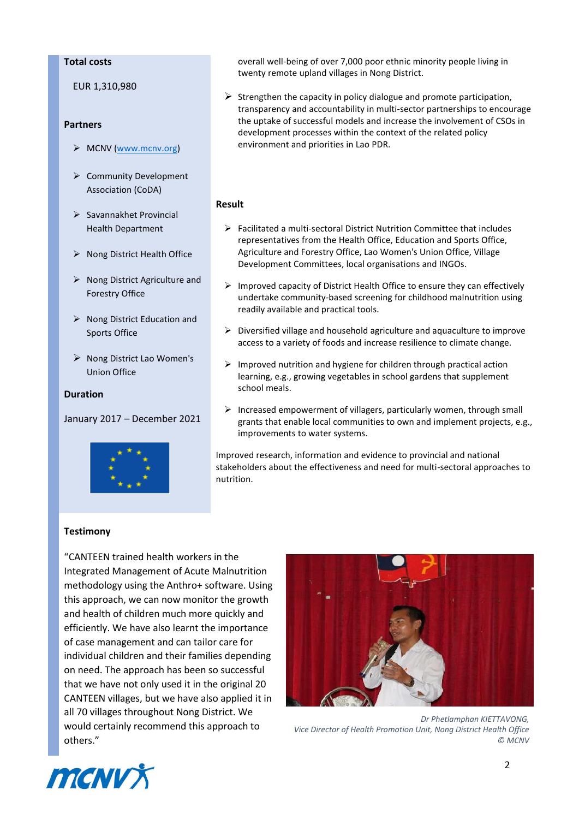#### **Total costs**

EUR 1,310,980

#### **Partners**

- ➢ MCNV [\(www.mcnv.org\)](http://www.mcnv.org/)
- ➢ Community Development Association (CoDA)
- ➢ Savannakhet Provincial Health Department
- ➢ Nong District Health Office
- ➢ Nong District Agriculture and Forestry Office
- ➢ Nong District Education and Sports Office
- ➢ Nong District Lao Women's Union Office

#### **Duration**

January 2017 – December 2021



overall well-being of over 7,000 poor ethnic minority people living in twenty remote upland villages in Nong District.

 $\triangleright$  Strengthen the capacity in policy dialogue and promote participation, transparency and accountability in multi-sector partnerships to encourage the uptake of successful models and increase the involvement of CSOs in development processes within the context of the related policy environment and priorities in Lao PDR.

#### **Result**

- ➢ Facilitated a multi-sectoral District Nutrition Committee that includes representatives from the Health Office, Education and Sports Office, Agriculture and Forestry Office, Lao Women's Union Office, Village Development Committees, local organisations and INGOs.
- $\triangleright$  Improved capacity of District Health Office to ensure they can effectively undertake community-based screening for childhood malnutrition using readily available and practical tools.
- ➢ Diversified village and household agriculture and aquaculture to improve access to a variety of foods and increase resilience to climate change.
- $\triangleright$  Improved nutrition and hygiene for children through practical action learning, e.g., growing vegetables in school gardens that supplement school meals.
- ➢ Increased empowerment of villagers, particularly women, through small grants that enable local communities to own and implement projects, e.g., improvements to water systems.

Improved research, information and evidence to provincial and national stakeholders about the effectiveness and need for multi-sectoral approaches to nutrition.

## **Testimony**

"CANTEEN trained health workers in the Integrated Management of Acute Malnutrition methodology using the Anthro+ software. Using this approach, we can now monitor the growth and health of children much more quickly and efficiently. We have also learnt the importance of case management and can tailor care for individual children and their families depending on need. The approach has been so successful that we have not only used it in the original 20 CANTEEN villages, but we have also applied it in all 70 villages throughout Nong District. We would certainly recommend this approach to others."



*Dr Phetlamphan KIETTAVONG, Vice Director of Health Promotion Unit, Nong District Health Office © MCNV*

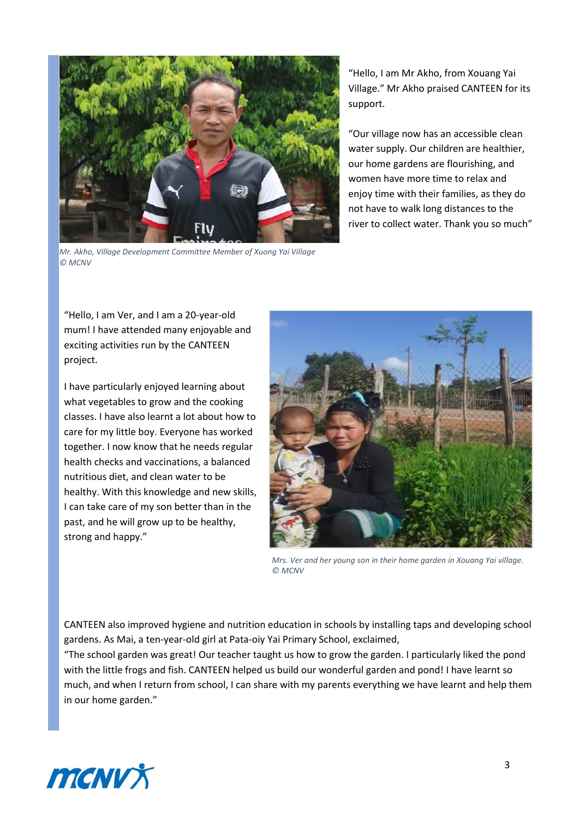

*Mr. Akho, Village Development Committee Member of Xuong Yai Village © MCNV*

"Hello, I am Mr Akho, from Xouang Yai Village." Mr Akho praised CANTEEN for its support.

"Our village now has an accessible clean water supply. Our children are healthier, our home gardens are flourishing, and women have more time to relax and enjoy time with their families, as they do not have to walk long distances to the river to collect water. Thank you so much"

"Hello, I am Ver, and I am a 20-year-old mum! I have attended many enjoyable and exciting activities run by the CANTEEN project.

I have particularly enjoyed learning about what vegetables to grow and the cooking classes. I have also learnt a lot about how to care for my little boy. Everyone has worked together. I now know that he needs regular health checks and vaccinations, a balanced nutritious diet, and clean water to be healthy. With this knowledge and new skills, I can take care of my son better than in the past, and he will grow up to be healthy, strong and happy."



*Mrs. Ver and her young son in their home garden in Xouang Yai village. © MCNV*

CANTEEN also improved hygiene and nutrition education in schools by installing taps and developing school gardens. As Mai, a ten-year-old girl at Pata-oiy Yai Primary School, exclaimed,

"The school garden was great! Our teacher taught us how to grow the garden. I particularly liked the pond with the little frogs and fish. CANTEEN helped us build our wonderful garden and pond! I have learnt so much, and when I return from school, I can share with my parents everything we have learnt and help them in our home garden."